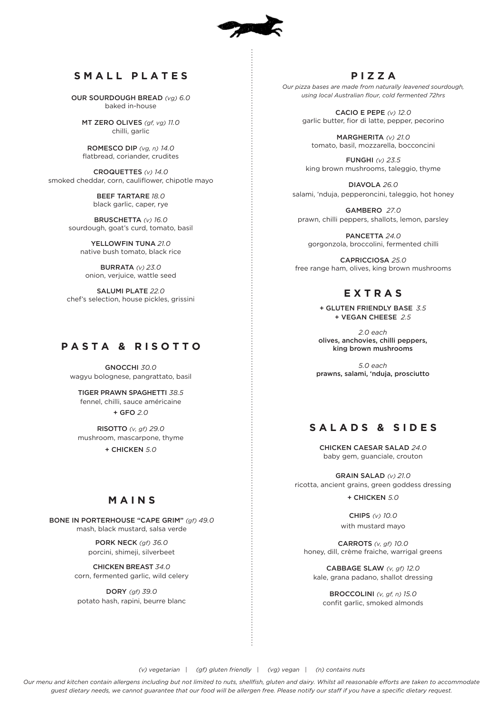

## **SMALL PLATES**

OUR SOURDOUGH BREAD *(vg) 6.0* baked in-house

MT ZERO OLIVES *(gf, vg) 11.0* chilli, garlic

ROMESCO DIP *(vg, n) 14.0* flatbread, coriander, crudites

CROQUETTES *(v) 14.0* smoked cheddar, corn, cauliflower, chipotle mayo

> BEEF TARTARE *18.0* black garlic, caper, rye

BRUSCHETTA *(v) 16.0* sourdough, goat's curd, tomato, basil

YELLOWFIN TUNA *21.0* native bush tomato, black rice

BURRATA *(v) 23.0* onion, verjuice, wattle seed

SALUMI PLATE *22.0* chef's selection, house pickles, grissini

# **PASTA & RISOTTO**

GNOCCHI *30.0* wagyu bolognese, pangrattato, basil

TIGER PRAWN SPAGHETTI *38.5* fennel, chilli, sauce américaine + GFO *2.0*

RISOTTO *(v, gf) 29.0* mushroom, mascarpone, thyme + CHICKEN *5.0*

## **MAINS**

BONE IN PORTERHOUSE "CAPE GRIM" *(gf) 49.0* mash, black mustard, salsa verde

> PORK NECK *(gf) 36.0* porcini, shimeji, silverbeet

CHICKEN BREAST *34.0* corn, fermented garlic, wild celery

DORY *(gf) 39.0* potato hash, rapini, beurre blanc

## **PIZZA**

*Our pizza bases are made from naturally leavened sourdough, using local Australian flour, cold fermented 72hrs*

> CACIO E PEPE *(v) 12.0* garlic butter, fior di latte, pepper, pecorino

MARGHERITA *(v) 21.0* tomato, basil, mozzarella, bocconcini

FUNGHI *(v) 23.5* king brown mushrooms, taleggio, thyme

DIAVOLA *26.0* salami, 'nduja, pepperoncini, taleggio, hot honey

GAMBERO *27.0* prawn, chilli peppers, shallots, lemon, parsley

PANCETTA *24.0* gorgonzola, broccolini, fermented chilli

CAPRICCIOSA *25.0* free range ham, olives, king brown mushrooms

# **EXTRAS**

+ GLUTEN FRIENDLY BASE *3.5* + VEGAN CHEESE *2.5*

*2.0 each* olives, anchovies, chilli peppers, king brown mushrooms

*5.0 each* prawns, salami, 'nduja, prosciutto

# **S A L A D S & S I D E S**

CHICKEN CAESAR SALAD *24.0* baby gem, guanciale, crouton

GRAIN SALAD *(v) 21.0* ricotta, ancient grains, green goddess dressing

+ CHICKEN *5.0*

CHIPS *(v) 10.0* with mustard mayo

CARROTS *(v, gf) 10.0* honey, dill, crème fraiche, warrigal greens

CABBAGE SLAW *(v, gf) 12.0* kale, grana padano, shallot dressing

BROCCOLINI *(v, gf, n) 15.0* confit garlic, smoked almonds

*(v) vegetarian | (gf) gluten friendly | (vg) vegan | (n) contains nuts*

*Our menu and kitchen contain allergens including but not limited to nuts, shellfish, gluten and dairy. Whilst all reasonable efforts are taken to accommodate guest dietary needs, we cannot guarantee that our food will be allergen free. Please notify our staff if you have a specific dietary request.*